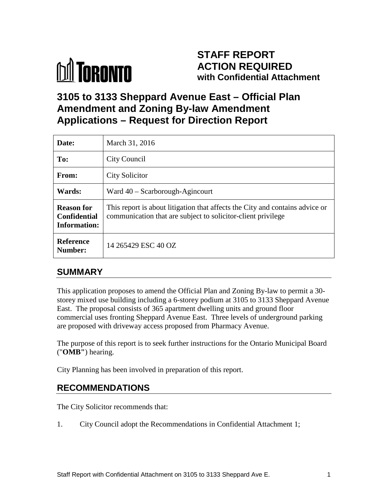

# **STAFF REPORT ACTION REQUIRED with Confidential Attachment**

# **3105 to 3133 Sheppard Avenue East – Official Plan Amendment and Zoning By-law Amendment Applications – Request for Direction Report**

| Date:                                                    | March 31, 2016                                                                                                                               |
|----------------------------------------------------------|----------------------------------------------------------------------------------------------------------------------------------------------|
| To:                                                      | City Council                                                                                                                                 |
| From:                                                    | <b>City Solicitor</b>                                                                                                                        |
| Wards:                                                   | Ward $40 -$ Scarborough-Agincourt                                                                                                            |
| <b>Reason for</b><br><b>Confidential</b><br>Information: | This report is about litigation that affects the City and contains advice or<br>communication that are subject to solicitor-client privilege |
| <b>Reference</b><br>Number:                              | 14 265429 ESC 40 OZ                                                                                                                          |

# **SUMMARY**

This application proposes to amend the Official Plan and Zoning By-law to permit a 30 storey mixed use building including a 6-storey podium at 3105 to 3133 Sheppard Avenue East. The proposal consists of 365 apartment dwelling units and ground floor commercial uses fronting Sheppard Avenue East. Three levels of underground parking are proposed with driveway access proposed from Pharmacy Avenue.

The purpose of this report is to seek further instructions for the Ontario Municipal Board ("**OMB"**) hearing.

City Planning has been involved in preparation of this report.

# **RECOMMENDATIONS**

The City Solicitor recommends that:

1. City Council adopt the Recommendations in Confidential Attachment 1;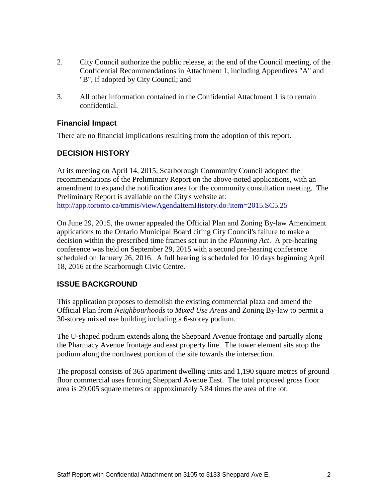- 2. City Council authorize the public release, at the end of the Council meeting, of the Confidential Recommendations in Attachment 1, including Appendices "A" and "B", if adopted by City Council; and
- 3. All other information contained in the Confidential Attachment 1 is to remain confidential.

#### **Financial Impact**

There are no financial implications resulting from the adoption of this report.

### **DECISION HISTORY**

At its meeting on April 14, 2015, Scarborough Community Council adopted the recommendations of the Preliminary Report on the above-noted applications, with an amendment to expand the notification area for the community consultation meeting. The Preliminary Report is available on the City's website at: <http://app.toronto.ca/tmmis/viewAgendaItemHistory.do?item=2015.SC5.25>

On June 29, 2015, the owner appealed the Official Plan and Zoning By-law Amendment applications to the Ontario Municipal Board citing City Council's failure to make a decision within the prescribed time frames set out in the *Planning Act*. A pre-hearing conference was held on September 29, 2015 with a second pre-hearing conference scheduled on January 26, 2016. A full hearing is scheduled for 10 days beginning April 18, 2016 at the Scarborough Civic Centre.

#### **ISSUE BACKGROUND**

This application proposes to demolish the existing commercial plaza and amend the Official Plan from *Neighbourhoods* to *Mixed Use Areas* and Zoning By-law to permit a 30-storey mixed use building including a 6-storey podium.

The U-shaped podium extends along the Sheppard Avenue frontage and partially along the Pharmacy Avenue frontage and east property line. The tower element sits atop the podium along the northwest portion of the site towards the intersection.

The proposal consists of 365 apartment dwelling units and 1,190 square metres of ground floor commercial uses fronting Sheppard Avenue East. The total proposed gross floor area is 29,005 square metres or approximately 5.84 times the area of the lot.